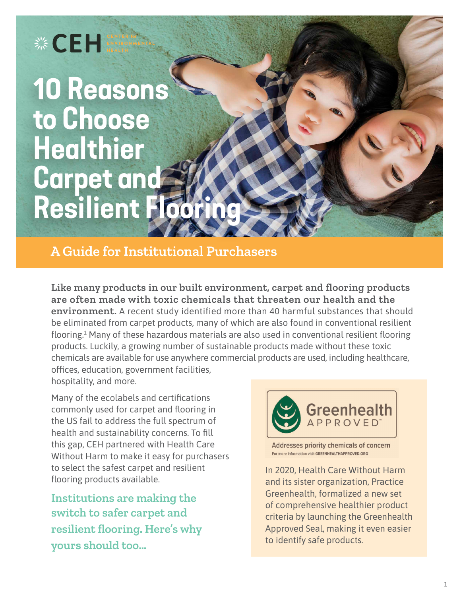# **※CEH**

# **10 Reasons to Choose Healthier Carpet and Resilient Flooring**

**A Guide for Institutional Purchasers**

**Like many products in our built environment, carpet and flooring products are often made with toxic chemicals that threaten our health and the environment.** A recent study identified more than 40 harmful substances that should be eliminated from carpet products, many of which are also found in conventional resilient flooring.<sup>1</sup> Many of these hazardous materials are also used in conventional resilient flooring products. Luckily, a growing number of sustainable products made without these toxic chemicals are available for use anywhere commercial products are used, including healthcare, offices, education, government facilities, hospitality, and more.

Many of the ecolabels and certifications commonly used for carpet and flooring in the US fail to address the full spectrum of health and sustainability concerns. To fill this gap, CEH partnered with Health Care Without Harm to make it easy for purchasers to select the safest carpet and resilient flooring products available.

**Institutions are making the switch to safer carpet and resilient flooring. Here's why yours should too…**



Addresses priority chemicals of concern For more information visit GREENHEALTHAPPROVED.ORG

In 2020, Health Care Without Harm and its sister organization, Practice Greenhealth, formalized a new set of comprehensive healthier product criteria by launching the Greenhealth Approved Seal, making it even easier to identify safe products.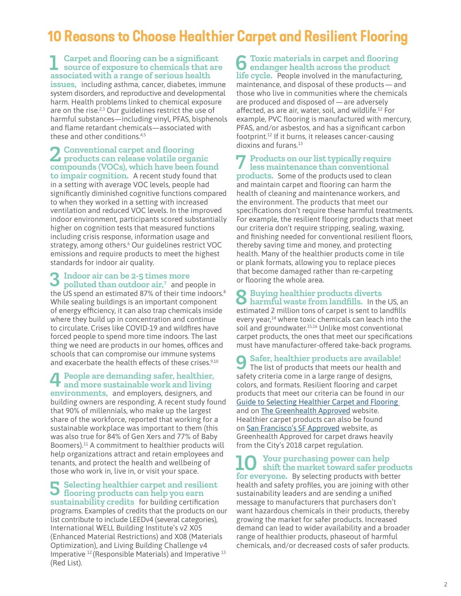## **10 Reasons to Choose Healthier Carpet and Resilient Flooring**

#### **1 Carpet and flooring can be a significant source of exposure to chemicals that are associated with a range of serious health**

**issues,** including asthma, cancer, diabetes, immune system disorders, and reproductive and developmental harm. Health problems linked to chemical exposure are on the rise.<sup>2,3</sup> Our guidelines restrict the use of harmful substances—including vinyl, PFAS, bisphenols and flame retardant chemicals—associated with these and other conditions.<sup>4,5</sup>

## **2 Conventional carpet and flooring products can release volatile organic compounds (VOCs), which have been found**

**to impair cognition.** A recent study found that in a setting with average VOC levels, people had significantly diminished cognitive functions compared to when they worked in a setting with increased ventilation and reduced VOC levels. In the improved indoor environment, participants scored substantially higher on cognition tests that measured functions including crisis response, information usage and strategy, among others.<sup>6</sup> Our guidelines restrict VOC emissions and require products to meet the highest standards for indoor air quality.

# **3 Indoor air can be 2-5 times more polluted than outdoor air,7** and people in

the US spend an estimated 87% of their time indoors.<sup>8</sup> While sealing buildings is an important component of energy efficiency, it can also trap chemicals inside where they build up in concentration and continue to circulate. Crises like COVID-19 and wildfires have forced people to spend more time indoors. The last thing we need are products in our homes, offices and schools that can compromise our immune systems and exacerbate the health effects of these crises.<sup>9,10</sup>

## **4 People are demanding safer, healthier, and more sustainable work and living environments,** and employers, designers, and

building owners are responding. A recent study found that 90% of millennials, who make up the largest share of the workforce, reported that working for a sustainable workplace was important to them (this was also true for 84% of Gen Xers and 77% of Baby Boomers).<sup>11</sup> A commitment to healthier products will help organizations attract and retain employees and tenants, and protect the health and wellbeing of those who work in, live in, or visit your space.

**5 Selecting healthier carpet and resilient flooring products can help you earn sustainability credits** for building certification programs. Examples of credits that the products on our list contribute to include LEEDv4 (several categories), International WELL Building Institute's v2 X05 (Enhanced Material Restrictions) and X08 (Materials Optimization), and Living Building Challenge v4 Imperative 12 (Responsible Materials) and Imperative <sup>13</sup> (Red List).

**6 Toxic materials in carpet and flooring endanger health across the product life cycle.** People involved in the manufacturing, maintenance, and disposal of these products — and those who live in communities where the chemicals are produced and disposed of —are adversely affected, as are air, water, soil, and wildlife.12 For example, PVC flooring is manufactured with mercury, PFAS, and/or asbestos, and has a significant carbon footprint.12 If it burns, it releases cancer-causing dioxins and furans.<sup>13</sup>

# **7 Products on our list typically require less maintenance than conventional**

**products.** Some of the products used to clean and maintain carpet and flooring can harm the health of cleaning and maintenance workers, and the environment. The products that meet our specifications don't require these harmful treatments. For example, the resilient flooring products that meet our criteria don't require stripping, sealing, waxing, and finishing needed for conventional resilient floors, thereby saving time and money, and protecting health. Many of the healthier products come in tile or plank formats, allowing you to replace pieces that become damaged rather than re-carpeting or flooring the whole area.

### **8 Buying healthier products diverts harmful waste from landfills.** In the US, an estimated 2 million tons of carpet is sent to landfills every year, $14$  where toxic chemicals can leach into the soil and groundwater.<sup>15,16</sup> Unlike most conventional carpet products, the ones that meet our specifications must have manufacturer-offered take-back programs.

**9 Safer, healthier products are available!** The list of products that meets our health and safety criteria come in a large range of designs, colors, and formats. Resilient flooring and carpet products that meet our criteria can be found in our [Guide to Selecting Healthier Carpet and Flooring](https://docs.google.com/spreadsheets/d/1xKE387smYu9gYcYOHr5qoNEo8BNQOKjmhVwzHGovz1g/edit#gid=1163922567)  and on **[The Greenhealth Approved](https://greenhealthapproved.org/greenhealth-approved-products)** website. Healthier carpet products can also be found on [San Francisco's SF Approved](https://www.sfapproved.org/flooring-carpets-adhesives) website, as Greenhealth Approved for carpet draws heavily from the City's 2018 carpet regulation.

**10 Your purchasing power can help shift the market toward safer products for everyone.** By selecting products with better health and safety profiles, you are joining with other sustainability leaders and are sending a unified message to manufacturers that purchasers don't want hazardous chemicals in their products, thereby growing the market for safer products. Increased demand can lead to wider availability and a broader range of healthier products, phaseout of harmful chemicals, and/or decreased costs of safer products.